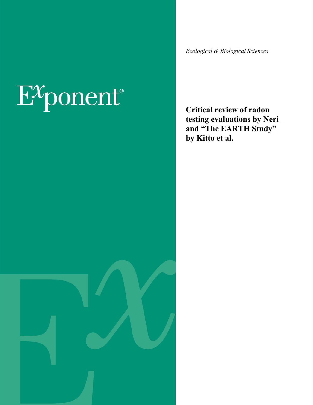# $E^{\chi}$ ponent®

*Ecological & Biological Sciences*

**Critical review of radon testing evaluations by Neri and "The EARTH Study" by Kitto et al.**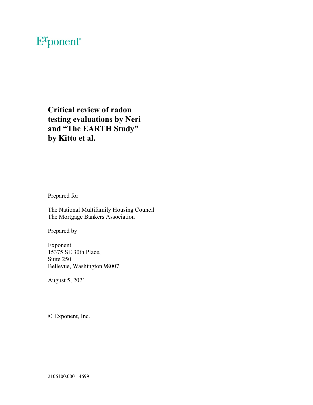## $E^{x}$ ponent®

**Critical review of radon testing evaluations by Neri and "The EARTH Study" by Kitto et al.** 

Prepared for

The National Multifamily Housing Council The Mortgage Bankers Association

Prepared by

Exponent 15375 SE 30th Place, Suite 250 Bellevue, Washington 98007

August 5, 2021

Exponent, Inc.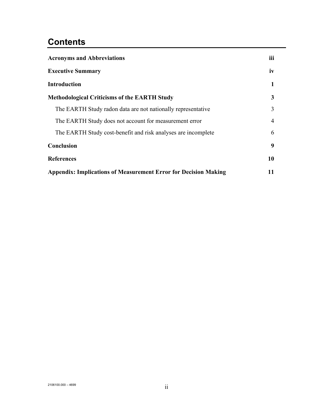## **Contents**

| <b>Acronyms and Abbreviations</b>                                      |                |
|------------------------------------------------------------------------|----------------|
| <b>Executive Summary</b>                                               |                |
| <b>Introduction</b>                                                    | 1              |
| <b>Methodological Criticisms of the EARTH Study</b>                    | 3              |
| The EARTH Study radon data are not nationally representative           | 3              |
| The EARTH Study does not account for measurement error                 | $\overline{4}$ |
| The EARTH Study cost-benefit and risk analyses are incomplete          | 6              |
| Conclusion                                                             | 9              |
| <b>References</b>                                                      | 10             |
| <b>Appendix: Implications of Measurement Error for Decision Making</b> |                |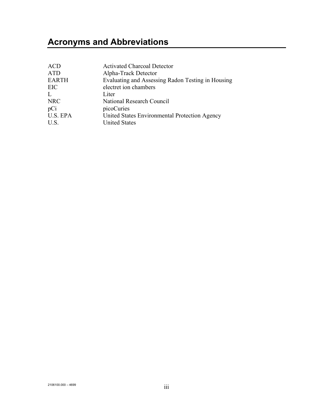## <span id="page-3-0"></span>**Acronyms and Abbreviations**

| <b>ACD</b>   | <b>Activated Charcoal Detector</b>                |
|--------------|---------------------------------------------------|
| <b>ATD</b>   | Alpha-Track Detector                              |
| <b>EARTH</b> | Evaluating and Assessing Radon Testing in Housing |
| EIC          | electret ion chambers                             |
| L            | Liter                                             |
| <b>NRC</b>   | National Research Council                         |
| pCi          | picoCuries                                        |
| U.S. EPA     | United States Environmental Protection Agency     |
| U.S.         | <b>United States</b>                              |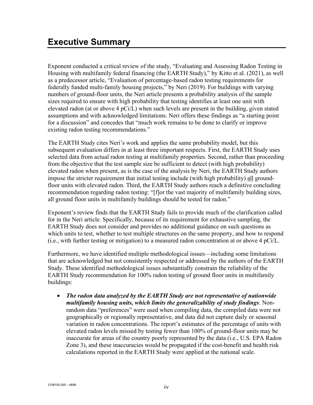<span id="page-4-0"></span>Exponent conducted a critical review of the study, "Evaluating and Assessing Radon Testing in Housing with multifamily federal financing (the EARTH Study)," by Kitto et al. (2021), as well as a predecessor article, "Evaluation of percentage-based radon testing requirements for federally funded multi-family housing projects," by Neri (2019). For buildings with varying numbers of ground-floor units, the Neri article presents a probability analysis of the sample sizes required to ensure with high probability that testing identifies at least one unit with elevated radon (at or above 4 pCi/L) when such levels are present in the building, given stated assumptions and with acknowledged limitations. Neri offers these findings as "a starting point for a discussion" and concedes that "much work remains to be done to clarify or improve existing radon testing recommendations."

The EARTH Study cites Neri's work and applies the same probability model, but this subsequent evaluation differs in at least three important respects. First, the EARTH Study uses selected data from actual radon testing at multifamily properties. Second, rather than proceeding from the objective that the test sample size be sufficient to detect (with high probability) elevated radon when present, as is the case of the analysis by Neri, the EARTH Study authors impose the stricter requirement that initial testing include (with high probability) all groundfloor units with elevated radon. Third, the EARTH Study authors reach a definitive concluding recommendation regarding radon testing: "[f]or the vast majority of multifamily building sizes, all ground floor units in multifamily buildings should be tested for radon."

Exponent's review finds that the EARTH Study fails to provide much of the clarification called for in the Neri article. Specifically, because of its requirement for exhaustive sampling, the EARTH Study does not consider and provides no additional guidance on such questions as which units to test, whether to test multiple structures on the same property, and how to respond (i.e., with further testing or mitigation) to a measured radon concentration at or above 4 pCi/L.

Furthermore, we have identified multiple methodological issues—including some limitations that are acknowledged but not consistently respected or addressed by the authors of the EARTH Study. These identified methodological issues substantially constrain the reliability of the EARTH Study recommendation for 100% radon testing of ground floor units in multifamily buildings:

• *The radon data analyzed by the EARTH Study are not representative of nationwide multifamily housing units, which limits the generalizability of study findings.* Nonrandom data "preferences" were used when compiling data, the compiled data were not geographically or regionally representative, and data did not capture daily or seasonal variation in radon concentrations. The report's estimates of the percentage of units with elevated radon levels missed by testing fewer than 100% of ground-floor units may be inaccurate for areas of the country poorly represented by the data (i.e., U.S. EPA Radon Zone 3), and these inaccuracies would be propagated if the cost-benefit and health risk calculations reported in the EARTH Study were applied at the national scale.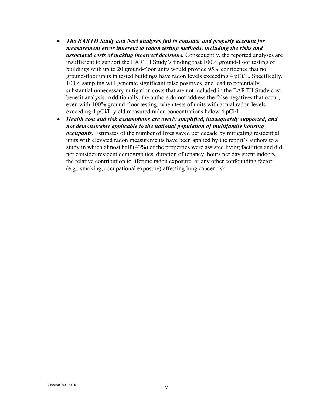- *The EARTH Study and Neri analyses fail to consider and properly account for measurement error inherent to radon testing methods, including the risks and associated costs of making incorrect decisions.* Consequently, the reported analyses are insufficient to support the EARTH Study's finding that 100% ground-floor testing of buildings with up to 20 ground-floor units would provide 95% confidence that no ground-floor units in tested buildings have radon levels exceeding 4 pCi/L. Specifically, 100% sampling will generate significant false positives, and lead to potentially substantial unnecessary mitigation costs that are not included in the EARTH Study costbenefit analysis. Additionally, the authors do not address the false negatives that occur, even with 100% ground-floor testing, when tests of units with actual radon levels exceeding 4 pCi/L yield measured radon concentrations below 4 pCi/L.
- *Health cost and risk assumptions are overly simplified, inadequately supported, and not demonstrably applicable to the national population of multifamily housing occupants***.** Estimates of the number of lives saved per decade by mitigating residential units with elevated radon measurements have been applied by the report's authors to a study in which almost half (43%) of the properties were assisted living facilities and did not consider resident demographics, duration of tenancy, hours per day spent indoors, the relative contribution to lifetime radon exposure, or any other confounding factor (e.g., smoking, occupational exposure) affecting lung cancer risk.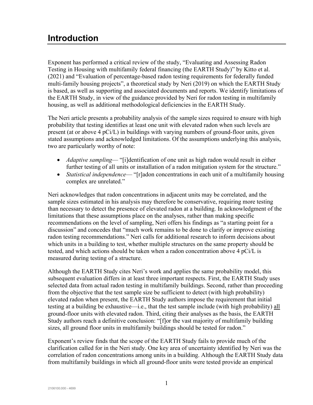### <span id="page-6-0"></span>**Introduction**

Exponent has performed a critical review of the study, "Evaluating and Assessing Radon Testing in Housing with multifamily federal financing (the EARTH Study)" by Kitto et al. (2021) and "Evaluation of percentage-based radon testing requirements for federally funded multi-family housing projects", a theoretical study by Neri (2019) on which the EARTH Study is based, as well as supporting and associated documents and reports. We identify limitations of the EARTH Study, in view of the guidance provided by Neri for radon testing in multifamily housing, as well as additional methodological deficiencies in the EARTH Study.

The Neri article presents a probability analysis of the sample sizes required to ensure with high probability that testing identifies at least one unit with elevated radon when such levels are present (at or above 4 pCi/L) in buildings with varying numbers of ground-floor units, given stated assumptions and acknowledged limitations. Of the assumptions underlying this analysis, two are particularly worthy of note:

- *Adaptive sampling* "[i]dentification of one unit as high radon would result in either further testing of all units or installation of a radon mitigation system for the structure."
- *Statistical independence* "[r]adon concentrations in each unit of a multifamily housing complex are unrelated."

Neri acknowledges that radon concentrations in adjacent units may be correlated, and the sample sizes estimated in his analysis may therefore be conservative, requiring more testing than necessary to detect the presence of elevated radon at a building. In acknowledgment of the limitations that these assumptions place on the analyses, rather than making specific recommendations on the level of sampling, Neri offers his findings as "a starting point for a discussion" and concedes that "much work remains to be done to clarify or improve existing radon testing recommendations." Neri calls for additional research to inform decisions about which units in a building to test, whether multiple structures on the same property should be tested, and which actions should be taken when a radon concentration above 4 pCi/L is measured during testing of a structure.

Although the EARTH Study cites Neri's work and applies the same probability model, this subsequent evaluation differs in at least three important respects. First, the EARTH Study uses selected data from actual radon testing in multifamily buildings. Second, rather than proceeding from the objective that the test sample size be sufficient to detect (with high probability) elevated radon when present, the EARTH Study authors impose the requirement that initial testing at a building be exhaustive—i.e., that the test sample include (with high probability) all ground-floor units with elevated radon. Third, citing their analyses as the basis, the EARTH Study authors reach a definitive conclusion: "[f]or the vast majority of multifamily building sizes, all ground floor units in multifamily buildings should be tested for radon."

Exponent's review finds that the scope of the EARTH Study fails to provide much of the clarification called for in the Neri study. One key area of uncertainty identified by Neri was the correlation of radon concentrations among units in a building. Although the EARTH Study data from multifamily buildings in which all ground-floor units were tested provide an empirical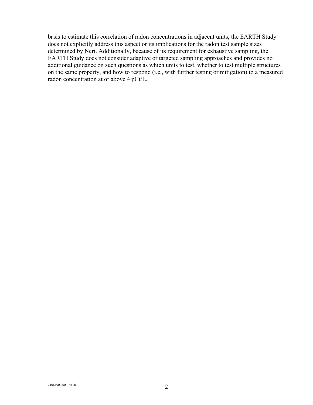basis to estimate this correlation of radon concentrations in adjacent units, the EARTH Study does not explicitly address this aspect or its implications for the radon test sample sizes determined by Neri. Additionally, because of its requirement for exhaustive sampling, the EARTH Study does not consider adaptive or targeted sampling approaches and provides no additional guidance on such questions as which units to test, whether to test multiple structures on the same property, and how to respond (i.e., with further testing or mitigation) to a measured radon concentration at or above 4 pCi/L.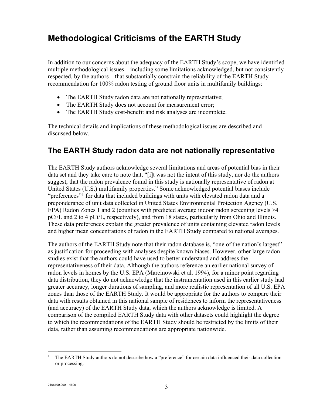## <span id="page-8-0"></span>**Methodological Criticisms of the EARTH Study**

In addition to our concerns about the adequacy of the EARTH Study's scope, we have identified multiple methodological issues—including some limitations acknowledged, but not consistently respected, by the authors—that substantially constrain the reliability of the EARTH Study recommendation for 100% radon testing of ground floor units in multifamily buildings:

- The EARTH Study radon data are not nationally representative;
- The EARTH Study does not account for measurement error;
- The EARTH Study cost-benefit and risk analyses are incomplete.

The technical details and implications of these methodological issues are described and discussed below.

#### <span id="page-8-1"></span>**The EARTH Study radon data are not nationally representative**

The EARTH Study authors acknowledge several limitations and areas of potential bias in their data set and they take care to note that, "[i]t was not the intent of this study, nor do the authors suggest, that the radon prevalence found in this study is nationally representative of radon at United States (U.S.) multifamily properties." Some acknowledged potential biases include "preferences"<sup>[1](#page-8-2)</sup> for data that included buildings with units with elevated radon data and a preponderance of unit data collected in United States Environmental Protection Agency (U.S. EPA) Radon Zones 1 and 2 (counties with predicted average indoor radon screening levels >4 pCi/L and 2 to 4 pCi/L, respectively), and from 18 states, particularly from Ohio and Illinois. These data preferences explain the greater prevalence of units containing elevated radon levels and higher mean concentrations of radon in the EARTH Study compared to national averages.

The authors of the EARTH Study note that their radon database is, "one of the nation's largest" as justification for proceeding with analyses despite known biases. However, other large radon studies exist that the authors could have used to better understand and address the representativeness of their data. Although the authors reference an earlier national survey of radon levels in homes by the U.S. EPA (Marcinowski et al. 1994), for a minor point regarding data distribution, they do not acknowledge that the instrumentation used in this earlier study had greater accuracy, longer durations of sampling, and more realistic representation of all U.S. EPA zones than those of the EARTH Study. It would be appropriate for the authors to compare their data with results obtained in this national sample of residences to inform the representativeness (and accuracy) of the EARTH Study data, which the authors acknowledge is limited. A comparison of the compiled EARTH Study data with other datasets could highlight the degree to which the recommendations of the EARTH Study should be restricted by the limits of their data, rather than assuming recommendations are appropriate nationwide.

<span id="page-8-2"></span><sup>&</sup>lt;sup>1</sup> The EARTH Study authors do not describe how a "preference" for certain data influenced their data collection or processing.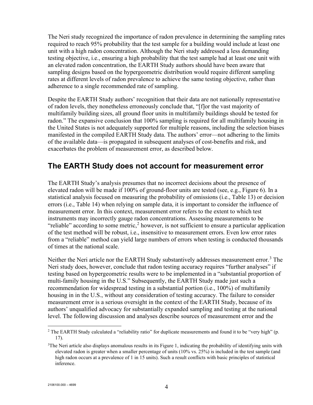The Neri study recognized the importance of radon prevalence in determining the sampling rates required to reach 95% probability that the test sample for a building would include at least one unit with a high radon concentration. Although the Neri study addressed a less demanding testing objective, i.e., ensuring a high probability that the test sample had at least one unit with an elevated radon concentration, the EARTH Study authors should have been aware that sampling designs based on the hypergeometric distribution would require different sampling rates at different levels of radon prevalence to achieve the same testing objective, rather than adherence to a single recommended rate of sampling.

Despite the EARTH Study authors' recognition that their data are not nationally representative of radon levels, they nonetheless erroneously conclude that, "[f]or the vast majority of multifamily building sizes, all ground floor units in multifamily buildings should be tested for radon." The expansive conclusion that 100% sampling is required for all multifamily housing in the United States is not adequately supported for multiple reasons, including the selection biases manifested in the compiled EARTH Study data. The authors' error—not adhering to the limits of the available data—is propagated in subsequent analyses of cost-benefits and risk, and exacerbates the problem of measurement error, as described below.

#### <span id="page-9-0"></span>**The EARTH Study does not account for measurement error**

The EARTH Study's analysis presumes that no incorrect decisions about the presence of elevated radon will be made if 100% of ground-floor units are tested (see, e.g., Figure 6). In a statistical analysis focused on measuring the probability of omissions (i.e., Table 13) or decision errors (i.e., Table 14) when relying on sample data, it is important to consider the influence of measurement error. In this context, measurement error refers to the extent to which test instruments may incorrectly gauge radon concentrations. Assessing measurements to be "reliable" according to some metric,<sup>[2](#page-9-1)</sup> however, is not sufficient to ensure a particular application of the test method will be robust, i.e., insensitive to measurement errors. Even low error rates from a "reliable" method can yield large numbers of errors when testing is conducted thousands of times at the national scale.

Neither the Neri article nor the EARTH Study substantively addresses measurement error.<sup>[3](#page-9-2)</sup> The Neri study does, however, conclude that radon testing accuracy requires "further analyses" if testing based on hypergeometric results were to be implemented in a "substantial proportion of multi-family housing in the U.S." Subsequently, the EARTH Study made just such a recommendation for widespread testing in a substantial portion (i.e., 100%) of multifamily housing in in the U.S., without any consideration of testing accuracy. The failure to consider measurement error is a serious oversight in the context of the EARTH Study, because of its authors' unqualified advocacy for substantially expanded sampling and testing at the national level. The following discussion and analyses describe sources of measurement error and the

<span id="page-9-1"></span> $2$  The EARTH Study calculated a "reliability ratio" for duplicate measurements and found it to be "very high" (p. 17).

<span id="page-9-2"></span><sup>&</sup>lt;sup>3</sup>The Neri article also displays anomalous results in its Figure 1, indicating the probability of identifying units with elevated radon is greater when a smaller percentage of units (10% vs. 25%) is included in the test sample (and high radon occurs at a prevalence of 1 in 15 units). Such a result conflicts with basic principles of statistical inference.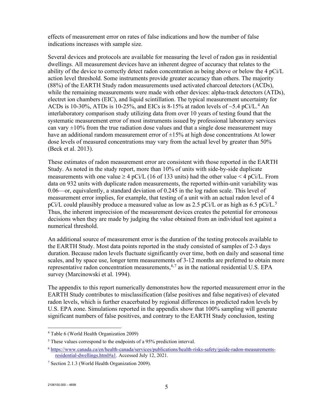effects of measurement error on rates of false indications and how the number of false indications increases with sample size.

Several devices and protocols are available for measuring the level of radon gas in residential dwellings. All measurement devices have an inherent degree of accuracy that relates to the ability of the device to correctly detect radon concentration as being above or below the 4 pCi/L action level threshold. Some instruments provide greater accuracy than others. The majority (88%) of the EARTH Study radon measurements used activated charcoal detectors (ACDs), while the remaining measurements were made with other devices: alpha-track detectors (ATDs), electret ion chambers (EIC), and liquid scintillation. The typical measurement uncertainty for ACDs is 10-30%, ATDs is 10-25%, and EICs is 8-15% at radon levels of  $\sim$ 5.[4](#page-10-0) pCi/L.<sup>4</sup> An interlaboratory comparison study utilizing data from over 10 years of testing found that the systematic measurement error of most instruments issued by professional laboratory services can vary  $\pm 10\%$  from the true radiation dose values and that a single dose measurement may have an additional random measurement error of  $\pm 15%$  at high dose concentrations At lower dose levels of measured concentrations may vary from the actual level by greater than 50% (Beck et al. 2013).

These estimates of radon measurement error are consistent with those reported in the EARTH Study. As noted in the study report, more than 10% of units with side-by-side duplicate measurements with one value  $\geq 4$  pCi/L (16 of 133 units) had the other value  $\leq 4$  pCi/L. From data on 932 units with duplicate radon measurements, the reported within-unit variability was 0.06—or, equivalently, a standard deviation of 0.245 in the log radon scale. This level of measurement error implies, for example, that testing of a unit with an actual radon level of 4 pCi/L could plausibly produce a measured value as low as 2.[5](#page-10-1) pCi/L or as high as 6.5 pCi/L.<sup>5</sup> Thus, the inherent imprecision of the measurement devices creates the potential for erroneous decisions when they are made by judging the value obtained from an individual test against a numerical threshold.

An additional source of measurement error is the duration of the testing protocols available to the EARTH Study. Most data points reported in the study consisted of samples of 2-3 days duration. Because radon levels fluctuate significantly over time, both on daily and seasonal time scales, and by space use, longer term measurements of 3-12 months are preferred to obtain more representative radon concentration measurements,  $6.7$  $6.7$  as in the national residential U.S. EPA survey (Marcinowski et al. 1994).

The appendix to this report numerically demonstrates how the reported measurement error in the EARTH Study contributes to misclassification (false positives and false negatives) of elevated radon levels, which is further exacerbated by regional differences in predicted radon levels by U.S. EPA zone. Simulations reported in the appendix show that 100% sampling will generate significant numbers of false positives, and contrary to the EARTH Study conclusion, testing

<span id="page-10-0"></span><sup>4</sup> Table 6 (World Health Organization 2009)

<span id="page-10-1"></span><sup>&</sup>lt;sup>5</sup> These values correspond to the endpoints of a 95% prediction interval.

<span id="page-10-2"></span><sup>6</sup> [https://www.canada.ca/en/health-canada/services/publications/health-risks-safety/guide-radon-measurements](https://www.canada.ca/en/health-canada/services/publications/health-risks-safety/guide-radon-measurements-residential-dwellings.html#a1)[residential-dwellings.html#a1.](https://www.canada.ca/en/health-canada/services/publications/health-risks-safety/guide-radon-measurements-residential-dwellings.html#a1) Accessed July 12, 2021.

<span id="page-10-3"></span><sup>7</sup> Section 2.1.3 (World Health Organization 2009).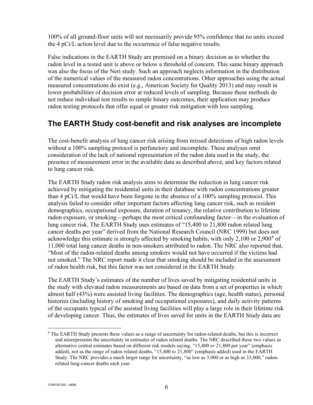100% of all ground-floor units will not necessarily provide 95% confidence that no units exceed the 4 pCi/L action level due to the occurrence of false negative results.

False indications in the EARTH Study are premised on a binary decision as to whether the radon level in a tested unit is above or below a threshold of concern. This same binary approach was also the focus of the Neri study. Such an approach neglects information in the distribution of the numerical values of the measured radon concentrations. Other approaches using the actual measured concentrations do exist (e.g., American Society for Quality 2013) and may result in lower probabilities of decision error at reduced levels of sampling. Because these methods do not reduce individual test results to simple binary outcomes, their application may produce radon testing protocols that offer equal or greater risk mitigation with less sampling.

#### <span id="page-11-0"></span>**The EARTH Study cost-benefit and risk analyses are incomplete**

The cost-benefit analysis of lung cancer risk arising from missed detections of high radon levels without a 100% sampling protocol is perfunctory and incomplete. These analyses omit consideration of the lack of national representation of the radon data used in the study, the presence of measurement error in the available data as described above, and key factors related to lung cancer risk.

The EARTH Study radon risk analysis aims to determine the reduction in lung cancer risk achieved by mitigating the residential units in their database with radon concentrations greater than 4 pCi/L that would have been forgone in the absence of a 100% sampling protocol. This analysis failed to consider other important factors affecting lung cancer risk, such as resident demographics, occupational exposure, duration of tenancy, the relative contribution to lifetime radon exposure, or smoking—perhaps the most critical confounding factor—in the evaluation of lung cancer risk. The EARTH Study uses estimates of "15,400 to 21,800 radon related lung cancer deaths per year" derived from the National Research Council (NRC 1999) but does not acknowledge this estimate is strongly affected by smoking habits, with only 2,100 or 2,900 $^8$  $^8$  of 11,000 total lung cancer deaths in non-smokers attributed to radon. The NRC also reported that, "Most of the radon-related deaths among smokers would not have occurred if the victims had not smoked." The NRC report made it clear that smoking should be included in the assessment of radon health risk, but this factor was not considered in the EARTH Study.

The EARTH Study's estimates of the number of lives saved by mitigating residential units in the study with elevated radon measurements are based on data from a set of properties in which almost half (43%) were assisted living facilities. The demographics (age, health status), personal histories (including history of smoking and occupational exposures), and daily activity patterns of the occupants typical of the assisted living facilities will play a large role in their lifetime risk of developing cancer. Thus, the estimates of lives saved for units in the EARTH Study data are

<span id="page-11-1"></span><sup>&</sup>lt;sup>8</sup> The EARTH Study presents these values as a range of uncertainty for radon-related deaths, but this is incorrect and misrepresents the uncertainty in estimates of radon related deaths. The NRC described these two values as alternative central estimates based on different risk models saying, "15,400 *or* 21,800 per year" (emphasis added), not as the range of radon related deaths, "15,400 *to* 21,800" (emphasis added) used in the EARTH Study. The NRC provides a much larger range for uncertainty, "as low as 3,000 or as high as 33,000," radonrelated lung-cancer deaths each year.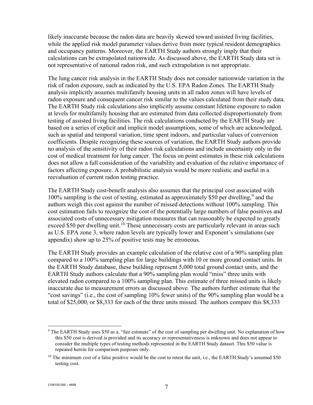likely inaccurate because the radon data are heavily skewed toward assisted living facilities, while the applied risk model parameter values derive from more typical resident demographics and occupancy patterns. Moreover, the EARTH Study authors strongly imply that their calculations can be extrapolated nationwide. As discussed above, the EARTH Study data set is not representative of national radon risk, and such extrapolation is not appropriate.

The lung cancer risk analysis in the EARTH Study does not consider nationwide variation in the risk of radon exposure, such as indicated by the U.S. EPA Radon Zones. The EARTH Study analysis implicitly assumes multifamily housing units in all radon zones will have levels of radon exposure and consequent cancer risk similar to the values calculated from their study data. The EARTH Study risk calculations also implicitly assume constant lifetime exposure to radon at levels for multifamily housing that are estimated from data collected disproportionately from testing of assisted living facilities. The risk calculations conducted by the EARTH Study are based on a series of explicit and implicit model assumptions, some of which are acknowledged, such as spatial and temporal variation, time spent indoors, and particular values of conversion coefficients. Despite recognizing these sources of variation, the EARTH Study authors provide no analysis of the sensitivity of their radon risk calculations and include uncertainty only in the cost of medical treatment for lung cancer. The focus on point estimates in these risk calculations does not allow a full consideration of the variability and evaluation of the relative importance of factors affecting exposure. A probabilistic analysis would be more realistic and useful in a reevaluation of current radon testing practice.

The EARTH Study cost-benefit analysis also assumes that the principal cost associated with 100% sampling is the cost of testing, estimated as approximately \$50 per dwelling,<sup>[9](#page-12-0)</sup> and the authors weigh this cost against the number of missed detections without 100% sampling. This cost estimation fails to recognize the cost of the potentially large numbers of false positives and associated costs of unnecessary mitigation measures that can reasonably be expected to greatly exceed \$50 per dwelling unit.<sup>[10](#page-12-1)</sup> These unnecessary costs are particularly relevant in areas such as U.S. EPA zone 3, where radon levels are typically lower and Exponent's simulations (see appendix) show up to 25% of positive tests may be erroneous.

The EARTH Study provides an example calculation of the relative cost of a 90% sampling plan compared to a 100% sampling plan for large buildings with 10 or more ground contact units. In the EARTH Study database, these building represent 5,000 total ground contact units, and the EARTH Study authors calculate that a 90% sampling plan would "miss" three units with elevated radon compared to a 100% sampling plan. This estimate of three missed units is likely inaccurate due to measurement errors as discussed above. The authors further estimate that the "cost savings" (i.e., the cost of sampling 10% fewer units) of the 90% sampling plan would be a total of \$25,000, or \$8,333 for each of the three units missed. The authors compare this \$8,333

<span id="page-12-0"></span><sup>&</sup>lt;sup>9</sup> The EARTH Study uses \$50 as a, "fair estimate" of the cost of sampling per dwelling unit. No explanation of how this \$50 cost is derived is provided and its accuracy or representativeness is unknown and does not appear to consider the multiple types of testing methods represented in the EARTH Study dataset. This \$50 value is repeated herein for comparison purposes only.

<span id="page-12-1"></span> $10$  The minimum cost of a false positive would be the cost to retest the unit, i.e., the EARTH Study's assumed \$50 testing cost.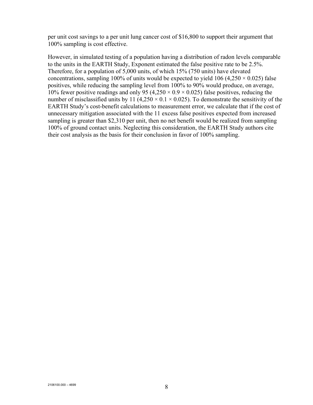per unit cost savings to a per unit lung cancer cost of \$16,800 to support their argument that 100% sampling is cost effective.

However, in simulated testing of a population having a distribution of radon levels comparable to the units in the EARTH Study, Exponent estimated the false positive rate to be 2.5%. Therefore, for a population of 5,000 units, of which 15% (750 units) have elevated concentrations, sampling 100% of units would be expected to yield 106 (4,250  $\times$  0.025) false positives, while reducing the sampling level from 100% to 90% would produce, on average, 10% fewer positive readings and only 95 (4,250  $\times$  0.9  $\times$  0.025) false positives, reducing the number of misclassified units by 11 (4,250  $\times$  0.1  $\times$  0.025). To demonstrate the sensitivity of the EARTH Study's cost-benefit calculations to measurement error, we calculate that if the cost of unnecessary mitigation associated with the 11 excess false positives expected from increased sampling is greater than \$2,310 per unit, then no net benefit would be realized from sampling 100% of ground contact units. Neglecting this consideration, the EARTH Study authors cite their cost analysis as the basis for their conclusion in favor of 100% sampling.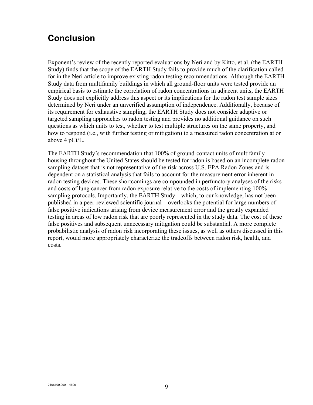#### <span id="page-14-0"></span>**Conclusion**

Exponent's review of the recently reported evaluations by Neri and by Kitto, et al. (the EARTH Study) finds that the scope of the EARTH Study fails to provide much of the clarification called for in the Neri article to improve existing radon testing recommendations. Although the EARTH Study data from multifamily buildings in which all ground-floor units were tested provide an empirical basis to estimate the correlation of radon concentrations in adjacent units, the EARTH Study does not explicitly address this aspect or its implications for the radon test sample sizes determined by Neri under an unverified assumption of independence. Additionally, because of its requirement for exhaustive sampling, the EARTH Study does not consider adaptive or targeted sampling approaches to radon testing and provides no additional guidance on such questions as which units to test, whether to test multiple structures on the same property, and how to respond (i.e., with further testing or mitigation) to a measured radon concentration at or above 4 pCi/L.

The EARTH Study's recommendation that 100% of ground-contact units of multifamily housing throughout the United States should be tested for radon is based on an incomplete radon sampling dataset that is not representative of the risk across U.S. EPA Radon Zones and is dependent on a statistical analysis that fails to account for the measurement error inherent in radon testing devices. These shortcomings are compounded in perfunctory analyses of the risks and costs of lung cancer from radon exposure relative to the costs of implementing 100% sampling protocols. Importantly, the EARTH Study—which, to our knowledge, has not been published in a peer-reviewed scientific journal—overlooks the potential for large numbers of false positive indications arising from device measurement error and the greatly expanded testing in areas of low radon risk that are poorly represented in the study data. The cost of these false positives and subsequent unnecessary mitigation could be substantial. A more complete probabilistic analysis of radon risk incorporating these issues, as well as others discussed in this report, would more appropriately characterize the tradeoffs between radon risk, health, and costs.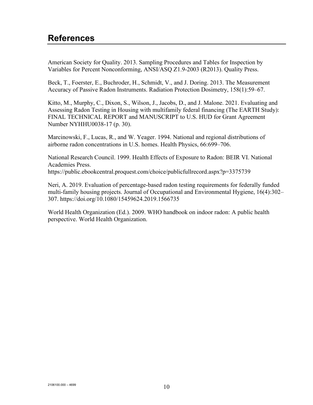#### <span id="page-15-0"></span>**References**

American Society for Quality. 2013. Sampling Procedures and Tables for Inspection by Variables for Percent Nonconforming, ANSI/ASQ Z1.9-2003 (R2013). Quality Press.

Beck, T., Foerster, E., Buchroder, H., Schmidt, V., and J. Doring. 2013. The Measurement Accuracy of Passive Radon Instruments. Radiation Protection Dosimetry, 158(1):59–67.

Kitto, M., Murphy, C., Dixon, S., Wilson, J., Jacobs, D., and J. Malone. 2021. Evaluating and Assessing Radon Testing in Housing with multifamily federal financing (The EARTH Study): FINAL TECHNICAL REPORT and MANUSCRIPT to U.S. HUD for Grant Agreement Number NYHHU0038-17 (p. 30).

Marcinowski, F., Lucas, R., and W. Yeager. 1994. National and regional distributions of airborne radon concentrations in U.S. homes. Health Physics, 66:699–706.

National Research Council. 1999. Health Effects of Exposure to Radon: BEIR VI. National Academies Press. https://public.ebookcentral.proquest.com/choice/publicfullrecord.aspx?p=3375739

Neri, A. 2019. Evaluation of percentage-based radon testing requirements for federally funded multi-family housing projects. Journal of Occupational and Environmental Hygiene, 16(4):302– 307. https://doi.org/10.1080/15459624.2019.1566735

World Health Organization (Ed.). 2009. WHO handbook on indoor radon: A public health perspective. World Health Organization.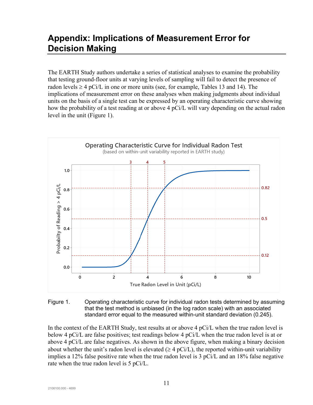#### <span id="page-16-0"></span>**Appendix: Implications of Measurement Error for Decision Making**

The EARTH Study authors undertake a series of statistical analyses to examine the probability that testing ground-floor units at varying levels of sampling will fail to detect the presence of radon levels  $\geq 4$  pCi/L in one or more units (see, for example, Tables 13 and 14). The implications of measurement error on these analyses when making judgments about individual units on the basis of a single test can be expressed by an operating characteristic curve showing how the probability of a test reading at or above 4 pCi/L will vary depending on the actual radon level in the unit (Figure 1).



Figure 1. Operating characteristic curve for individual radon tests determined by assuming that the test method is unbiased (in the log radon scale) with an associated standard error equal to the measured within-unit standard deviation (0.245).

In the context of the EARTH Study, test results at or above 4 pCi/L when the true radon level is below 4 pCi/L are false positives; test readings below 4 pCi/L when the true radon level is at or above 4 pCi/L are false negatives. As shown in the above figure, when making a binary decision about whether the unit's radon level is elevated ( $\geq 4$  pCi/L), the reported within-unit variability implies a 12% false positive rate when the true radon level is 3  $pCi/L$  and an 18% false negative rate when the true radon level is 5 pCi/L.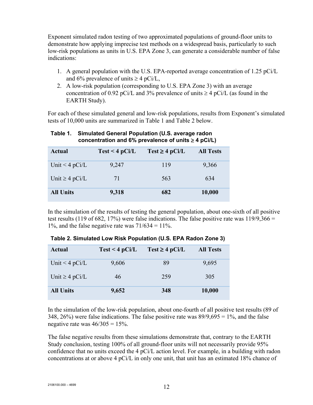Exponent simulated radon testing of two approximated populations of ground-floor units to demonstrate how applying imprecise test methods on a widespread basis, particularly to such low-risk populations as units in U.S. EPA Zone 3, can generate a considerable number of false indications:

- 1. A general population with the U.S. EPA-reported average concentration of 1.25 pCi/L and 6% prevalence of units  $\geq 4$  pCi/L,
- 2. A low-risk population (corresponding to U.S. EPA Zone 3) with an average concentration of 0.92 pCi/L and 3% prevalence of units  $\geq 4$  pCi/L (as found in the EARTH Study).

For each of these simulated general and low-risk populations, results from Exponent's simulated tests of 10,000 units are summarized in Table 1 and Table 2 below.

| Actual              | Test < 4 pCi/L | $Test \geq 4 pCi/L$ | <b>All Tests</b> |
|---------------------|----------------|---------------------|------------------|
| Unit $<$ 4 pCi/L    | 9,247          | 119                 | 9,366            |
| Unit $\geq 4$ pCi/L | 71             | 563                 | 634              |
| <b>All Units</b>    | 9,318          | 682                 | 10,000           |

#### **Table 1. Simulated General Population (U.S. average radon concentration and 6% prevalence of units** ≥ **4 pCi/L)**

In the simulation of the results of testing the general population, about one-sixth of all positive test results (119 of 682, 17%) were false indications. The false positive rate was  $119/9,366 =$ 1%, and the false negative rate was  $71/634 = 11\%$ .

| Actual              | Test < 4 pCi/L | $Test \geq 4 pCi/L$ | <b>All Tests</b> |
|---------------------|----------------|---------------------|------------------|
| Unit $<$ 4 pCi/L    | 9,606          | 89                  | 9,695            |
| Unit $\geq 4$ pCi/L | 46             | 259                 | 305              |
| <b>All Units</b>    | 9,652          | 348                 | 10,000           |

**Table 2. Simulated Low Risk Population (U.S. EPA Radon Zone 3)**

In the simulation of the low-risk population, about one-fourth of all positive test results (89 of 348, 26%) were false indications. The false positive rate was  $89/9,695 = 1\%$ , and the false negative rate was  $46/305 = 15\%$ .

The false negative results from these simulations demonstrate that, contrary to the EARTH Study conclusion, testing 100% of all ground-floor units will not necessarily provide 95% confidence that no units exceed the 4 pCi/L action level. For example, in a building with radon concentrations at or above 4 pCi/L in only one unit, that unit has an estimated 18% chance of